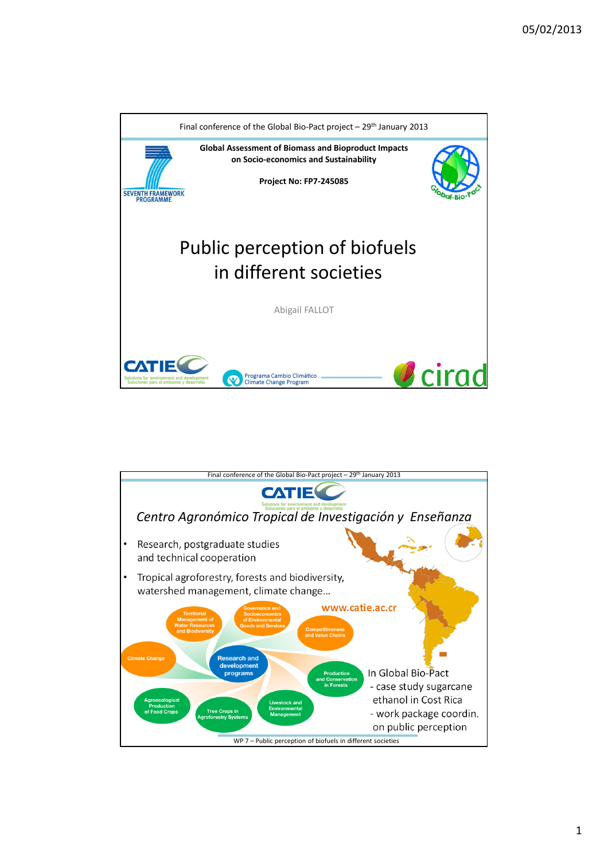

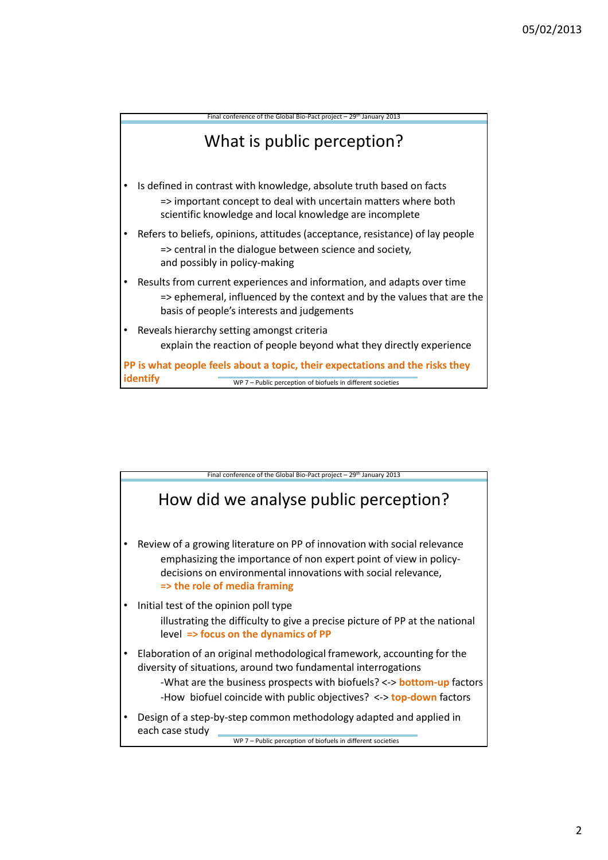

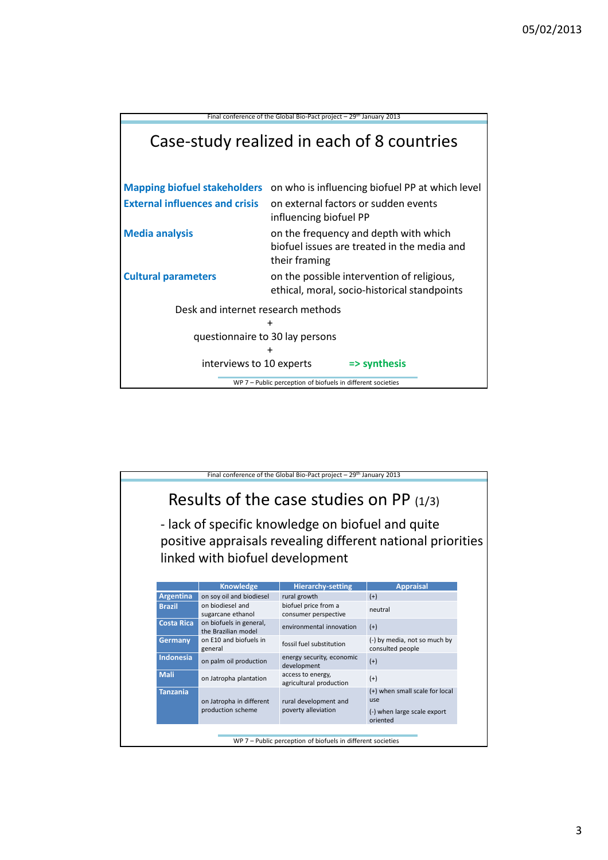

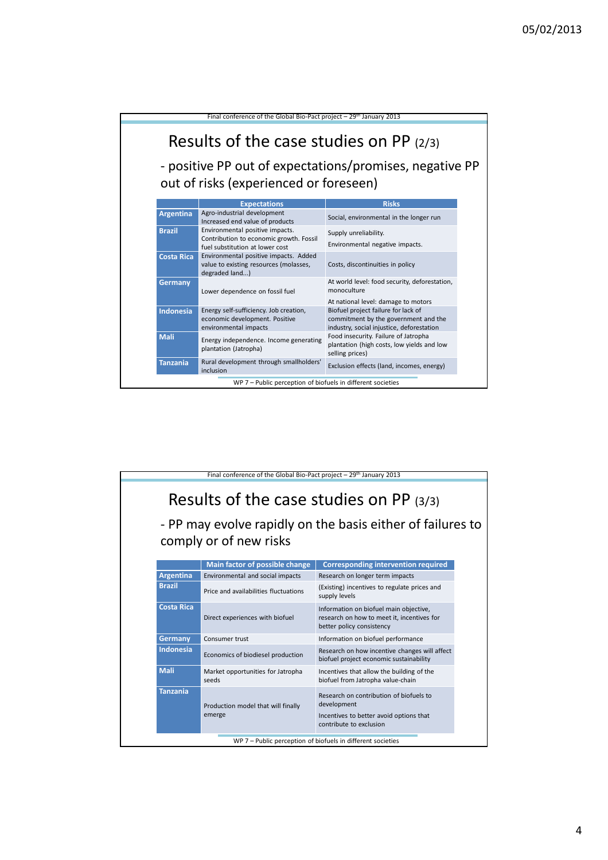| Final conference of the Global Bio-Pact project - 29 <sup>th</sup> January 2013                                                              |                                                                                                               |                                                                                                                                                                 |  |  |
|----------------------------------------------------------------------------------------------------------------------------------------------|---------------------------------------------------------------------------------------------------------------|-----------------------------------------------------------------------------------------------------------------------------------------------------------------|--|--|
| Results of the case studies on PP (2/3)<br>- positive PP out of expectations/promises, negative PP<br>out of risks (experienced or foreseen) |                                                                                                               |                                                                                                                                                                 |  |  |
|                                                                                                                                              | <b>Expectations</b>                                                                                           | <b>Risks</b>                                                                                                                                                    |  |  |
| Argentina                                                                                                                                    | Agro-industrial development<br>Increased end value of products                                                | Social, environmental in the longer run                                                                                                                         |  |  |
| <b>Brazil</b>                                                                                                                                | Environmental positive impacts.<br>Contribution to economic growth. Fossil<br>fuel substitution at lower cost | Supply unreliability.<br>Environmental negative impacts.                                                                                                        |  |  |
| <b>Costa Rica</b>                                                                                                                            | Environmental positive impacts. Added<br>value to existing resources (molasses,<br>degraded land)             | Costs, discontinuities in policy                                                                                                                                |  |  |
| Germany                                                                                                                                      | Lower dependence on fossil fuel                                                                               | At world level: food security, deforestation,<br>monoculture                                                                                                    |  |  |
| <b>Indonesia</b>                                                                                                                             | Energy self-sufficiency. Job creation,<br>economic development. Positive<br>environmental impacts             | At national level: damage to motors<br>Biofuel project failure for lack of<br>commitment by the government and the<br>industry, social injustice, deforestation |  |  |
| Mali                                                                                                                                         | Energy independence. Income generating<br>plantation (Jatropha)                                               | Food insecurity. Failure of Jatropha<br>plantation (high costs, low yields and low<br>selling prices)                                                           |  |  |
| <b>Tanzania</b>                                                                                                                              | Rural development through smallholders'<br>inclusion                                                          | Exclusion effects (land, incomes, energy)                                                                                                                       |  |  |
| WP 7 - Public perception of biofuels in different societies                                                                                  |                                                                                                               |                                                                                                                                                                 |  |  |

| Final conference of the Global Bio-Pact project $-29$ <sup>th</sup> January 2013                                                  |                                              |                                                                                                                              |  |  |
|-----------------------------------------------------------------------------------------------------------------------------------|----------------------------------------------|------------------------------------------------------------------------------------------------------------------------------|--|--|
| Results of the case studies on PP $(3/3)$<br>- PP may evolve rapidly on the basis either of failures to<br>comply or of new risks |                                              |                                                                                                                              |  |  |
|                                                                                                                                   | Main factor of possible change               | <b>Corresponding intervention required</b>                                                                                   |  |  |
| Argentina                                                                                                                         | Environmental and social impacts             | Research on longer term impacts                                                                                              |  |  |
| <b>Brazil</b>                                                                                                                     | Price and availabilities fluctuations        | (Existing) incentives to regulate prices and<br>supply levels                                                                |  |  |
| <b>Costa Rica</b>                                                                                                                 | Direct experiences with biofuel              | Information on biofuel main objective,<br>research on how to meet it, incentives for<br>better policy consistency            |  |  |
| <b>Germany</b>                                                                                                                    | Consumer trust                               | Information on biofuel performance                                                                                           |  |  |
| <b>Indonesia</b>                                                                                                                  | Economics of biodiesel production            | Research on how incentive changes will affect<br>biofuel project economic sustainability                                     |  |  |
| <b>Mali</b>                                                                                                                       | Market opportunities for Jatropha<br>seeds   | Incentives that allow the building of the<br>biofuel from Jatropha value-chain                                               |  |  |
| <b>Tanzania</b>                                                                                                                   | Production model that will finally<br>emerge | Research on contribution of biofuels to<br>development<br>Incentives to better avoid options that<br>contribute to exclusion |  |  |
| WP 7 - Public perception of biofuels in different societies                                                                       |                                              |                                                                                                                              |  |  |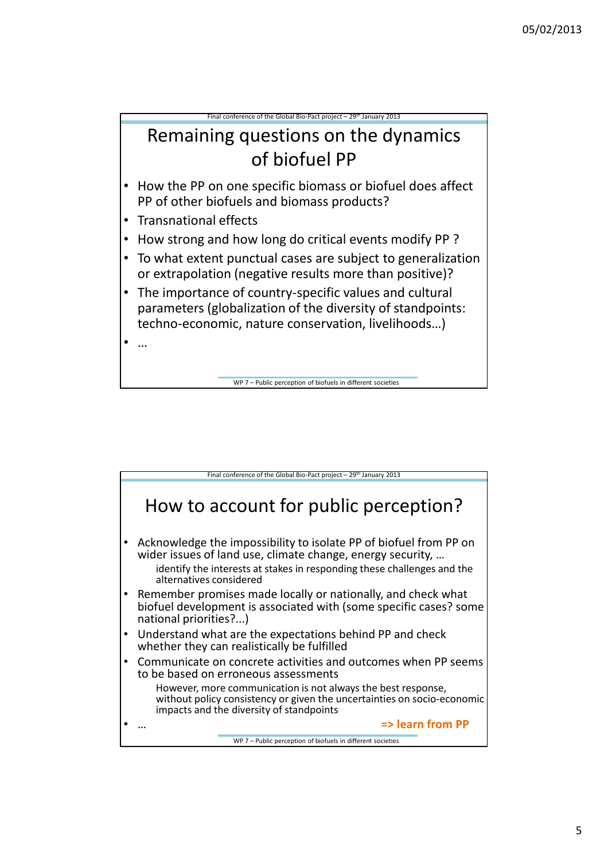